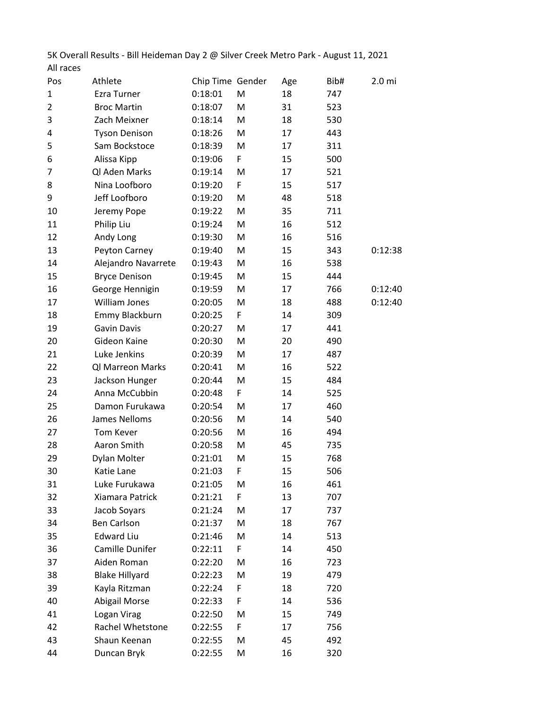5K Overall Results - Bill Heideman Day 2 @ Silver Creek Metro Park - August 11, 2021 All races

| Pos            | Athlete               | Chip Time Gender |   | Age | Bib# | 2.0 <sub>mi</sub> |
|----------------|-----------------------|------------------|---|-----|------|-------------------|
| 1              | <b>Ezra Turner</b>    | 0:18:01          | M | 18  | 747  |                   |
| $\overline{2}$ | <b>Broc Martin</b>    | 0:18:07          | M | 31  | 523  |                   |
| 3              | Zach Meixner          | 0:18:14          | M | 18  | 530  |                   |
| 4              | <b>Tyson Denison</b>  | 0:18:26          | M | 17  | 443  |                   |
| 5              | Sam Bockstoce         | 0:18:39          | M | 17  | 311  |                   |
| 6              | Alissa Kipp           | 0:19:06          | F | 15  | 500  |                   |
| 7              | Ql Aden Marks         | 0:19:14          | M | 17  | 521  |                   |
| 8              | Nina Loofboro         | 0:19:20          | F | 15  | 517  |                   |
| 9              | Jeff Loofboro         | 0:19:20          | M | 48  | 518  |                   |
| 10             | Jeremy Pope           | 0:19:22          | M | 35  | 711  |                   |
| 11             | Philip Liu            | 0:19:24          | M | 16  | 512  |                   |
| 12             | Andy Long             | 0:19:30          | M | 16  | 516  |                   |
| 13             | Peyton Carney         | 0:19:40          | M | 15  | 343  | 0:12:38           |
| 14             | Alejandro Navarrete   | 0:19:43          | M | 16  | 538  |                   |
| 15             | <b>Bryce Denison</b>  | 0:19:45          | M | 15  | 444  |                   |
| 16             | George Hennigin       | 0:19:59          | M | 17  | 766  | 0:12:40           |
| 17             | <b>William Jones</b>  | 0:20:05          | M | 18  | 488  | 0:12:40           |
| 18             | Emmy Blackburn        | 0:20:25          | F | 14  | 309  |                   |
| 19             | <b>Gavin Davis</b>    | 0:20:27          | M | 17  | 441  |                   |
| 20             | Gideon Kaine          | 0:20:30          | M | 20  | 490  |                   |
| 21             | Luke Jenkins          | 0:20:39          | M | 17  | 487  |                   |
| 22             | Ql Marreon Marks      | 0:20:41          | M | 16  | 522  |                   |
| 23             | Jackson Hunger        | 0:20:44          | M | 15  | 484  |                   |
| 24             | Anna McCubbin         | 0:20:48          | F | 14  | 525  |                   |
| 25             | Damon Furukawa        | 0:20:54          | M | 17  | 460  |                   |
| 26             | James Nelloms         | 0:20:56          | M | 14  | 540  |                   |
| 27             | Tom Kever             | 0:20:56          | M | 16  | 494  |                   |
| 28             | Aaron Smith           | 0:20:58          | M | 45  | 735  |                   |
| 29             | Dylan Molter          | 0:21:01          | M | 15  | 768  |                   |
| 30             | Katie Lane            | 0:21:03          | F | 15  | 506  |                   |
| 31             | Luke Furukawa         | 0:21:05          | M | 16  | 461  |                   |
| 32             | Xiamara Patrick       | 0:21:21          | F | 13  | 707  |                   |
| 33             | Jacob Soyars          | 0:21:24          | M | 17  | 737  |                   |
| 34             | <b>Ben Carlson</b>    | 0:21:37          | M | 18  | 767  |                   |
| 35             | <b>Edward Liu</b>     | 0:21:46          | M | 14  | 513  |                   |
| 36             | Camille Dunifer       | 0:22:11          | F | 14  | 450  |                   |
| 37             | Aiden Roman           | 0:22:20          | M | 16  | 723  |                   |
| 38             | <b>Blake Hillyard</b> | 0:22:23          | M | 19  | 479  |                   |
| 39             | Kayla Ritzman         | 0:22:24          | F | 18  | 720  |                   |
| 40             | <b>Abigail Morse</b>  | 0:22:33          | F | 14  | 536  |                   |
| 41             | Logan Virag           | 0:22:50          | M | 15  | 749  |                   |
| 42             | Rachel Whetstone      | 0:22:55          | F | 17  | 756  |                   |
| 43             | Shaun Keenan          | 0:22:55          | M | 45  | 492  |                   |
| 44             | Duncan Bryk           | 0:22:55          | M | 16  | 320  |                   |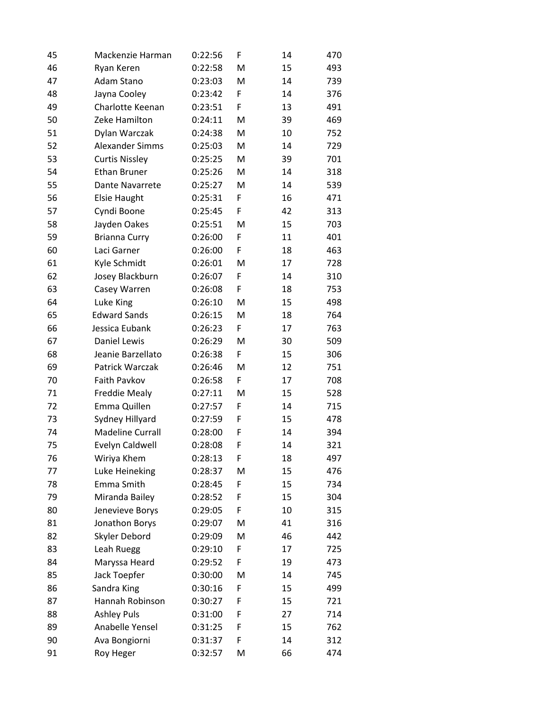| 45 | Mackenzie Harman        | 0:22:56 | F | 14 | 470 |
|----|-------------------------|---------|---|----|-----|
| 46 | Ryan Keren              | 0:22:58 | M | 15 | 493 |
| 47 | Adam Stano              | 0:23:03 | M | 14 | 739 |
| 48 | Jayna Cooley            | 0:23:42 | F | 14 | 376 |
| 49 | Charlotte Keenan        | 0:23:51 | F | 13 | 491 |
| 50 | Zeke Hamilton           | 0:24:11 | M | 39 | 469 |
| 51 | Dylan Warczak           | 0:24:38 | M | 10 | 752 |
| 52 | Alexander Simms         | 0:25:03 | M | 14 | 729 |
| 53 | <b>Curtis Nissley</b>   | 0:25:25 | M | 39 | 701 |
| 54 | <b>Ethan Bruner</b>     | 0:25:26 | M | 14 | 318 |
| 55 | Dante Navarrete         | 0:25:27 | M | 14 | 539 |
| 56 | <b>Elsie Haught</b>     | 0:25:31 | F | 16 | 471 |
| 57 | Cyndi Boone             | 0:25:45 | F | 42 | 313 |
| 58 | Jayden Oakes            | 0:25:51 | M | 15 | 703 |
| 59 | <b>Brianna Curry</b>    | 0:26:00 | F | 11 | 401 |
| 60 | Laci Garner             | 0:26:00 | F | 18 | 463 |
| 61 | Kyle Schmidt            | 0:26:01 | M | 17 | 728 |
| 62 | Josey Blackburn         | 0:26:07 | F | 14 | 310 |
| 63 | Casey Warren            | 0:26:08 | F | 18 | 753 |
| 64 | Luke King               | 0:26:10 | M | 15 | 498 |
| 65 | <b>Edward Sands</b>     | 0:26:15 | M | 18 | 764 |
| 66 | Jessica Eubank          | 0:26:23 | F | 17 | 763 |
| 67 | Daniel Lewis            | 0:26:29 | M | 30 | 509 |
| 68 | Jeanie Barzellato       | 0:26:38 | F | 15 | 306 |
| 69 | Patrick Warczak         | 0:26:46 | M | 12 | 751 |
| 70 | Faith Pavkov            | 0:26:58 | F | 17 | 708 |
| 71 | Freddie Mealy           | 0:27:11 | M | 15 | 528 |
| 72 | Emma Quillen            | 0:27:57 | F | 14 | 715 |
| 73 | Sydney Hillyard         | 0:27:59 | F | 15 | 478 |
| 74 | <b>Madeline Currall</b> | 0:28:00 | F | 14 | 394 |
| 75 | Evelyn Caldwell         | 0:28:08 | F | 14 | 321 |
| 76 | Wiriya Khem             | 0:28:13 | F | 18 | 497 |
| 77 | Luke Heineking          | 0:28:37 | M | 15 | 476 |
| 78 | Emma Smith              | 0:28:45 | F | 15 | 734 |
| 79 | Miranda Bailey          | 0:28:52 | F | 15 | 304 |
| 80 | Jenevieve Borys         | 0:29:05 | F | 10 | 315 |
| 81 | Jonathon Borys          | 0:29:07 | M | 41 | 316 |
| 82 | Skyler Debord           | 0:29:09 | M | 46 | 442 |
| 83 | Leah Ruegg              | 0:29:10 | F | 17 | 725 |
| 84 | Maryssa Heard           | 0:29:52 | F | 19 | 473 |
| 85 | Jack Toepfer            | 0:30:00 | M | 14 | 745 |
| 86 | Sandra King             | 0:30:16 | F | 15 | 499 |
| 87 | Hannah Robinson         | 0:30:27 | F | 15 | 721 |
| 88 | <b>Ashley Puls</b>      | 0:31:00 | F | 27 | 714 |
| 89 | Anabelle Yensel         | 0:31:25 | F | 15 | 762 |
| 90 | Ava Bongiorni           | 0:31:37 | F | 14 | 312 |
| 91 | Roy Heger               | 0:32:57 | M | 66 | 474 |